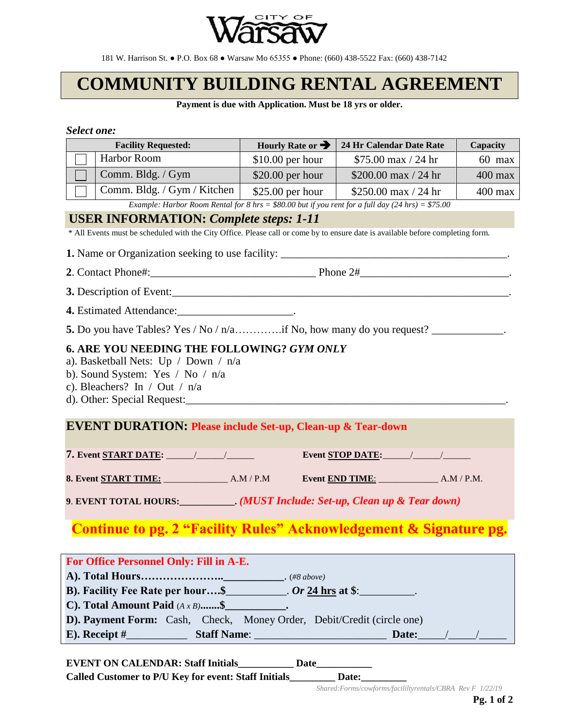

181 W. Harrison St. ● P.O. Box 68 ● Warsaw Mo 65355 ● Phone: (660) 438-5522 Fax: (660) 438-7142

# **COMMUNITY BUILDING RENTAL AGREEMENT**

**Payment is due with Application. Must be 18 yrs or older.**

#### *Select one:*

| <b>Facility Requested:</b>                                                                                                                                                                | Hourly Rate or $\rightarrow$   | 24 Hr Calendar Date Rate | <b>Capacity</b> |  |
|-------------------------------------------------------------------------------------------------------------------------------------------------------------------------------------------|--------------------------------|--------------------------|-----------------|--|
| Harbor Room                                                                                                                                                                               | \$10.00 per hour               | $$75.00$ max / 24 hr     | $60$ max        |  |
| Comm. Bldg. / Gym                                                                                                                                                                         | $\frac{1}{2}$ \$20.00 per hour | \$200.00 max $/$ 24 hr   | $400$ max       |  |
| Comm. Bldg. / Gym / Kitchen   \$25.00 per hour                                                                                                                                            |                                | \$250.00 max $/$ 24 hr   | $400$ max       |  |
| Example: Harbor Room Rental for 8 hrs = \$80.00 but if you rent for a full day $(24 \text{ hrs}) = $75.00$                                                                                |                                |                          |                 |  |
| <b>USER INFORMATION: Complete steps: 1-11</b>                                                                                                                                             |                                |                          |                 |  |
| * All Events must be scheduled with the City Office. Please call or come by to ensure date is available before completing form.                                                           |                                |                          |                 |  |
| 1. Name or Organization seeking to use facility: ________________________________                                                                                                         |                                |                          |                 |  |
|                                                                                                                                                                                           |                                |                          |                 |  |
| 3. Description of Event:                                                                                                                                                                  |                                |                          |                 |  |
| 4. Estimated Attendance: _______________________.                                                                                                                                         |                                |                          |                 |  |
| 5. Do you have Tables? Yes / No / n/aif No, how many do you request?                                                                                                                      |                                |                          |                 |  |
| a). Basketball Nets: Up / Down / $n/a$<br>b). Sound System: Yes / No / $n/a$<br>c). Bleachers? In / Out / $n/a$<br><b>EVENT DURATION: Please include Set-up, Clean-up &amp; Tear-down</b> |                                |                          |                 |  |
|                                                                                                                                                                                           |                                | Event STOP DATE:         |                 |  |
|                                                                                                                                                                                           |                                |                          |                 |  |
| 9. EVENT TOTAL HOURS: ___________. (MUST Include: Set-up, Clean up & Tear down)                                                                                                           |                                |                          |                 |  |
|                                                                                                                                                                                           |                                |                          |                 |  |
| Continue to pg. 2 "Facility Rules" Acknowledgement & Signature pg.                                                                                                                        |                                |                          |                 |  |
| For Office Personnel Only: Fill in A-E.                                                                                                                                                   |                                |                          |                 |  |
|                                                                                                                                                                                           |                                |                          |                 |  |
| B). Facility Fee Rate per hour\$ __________. Or 24 hrs at \$: ________.<br>C). Total Amount Paid $(A \times B)$ \$                                                                        |                                |                          |                 |  |
| D). Payment Form: Cash, Check, Money Order, Debit/Credit (circle one)                                                                                                                     |                                |                          |                 |  |
|                                                                                                                                                                                           |                                |                          |                 |  |
|                                                                                                                                                                                           |                                |                          |                 |  |

**EVENT ON CALENDAR: Staff Initials\_\_\_\_\_\_\_\_\_\_\_ Date\_\_\_\_\_\_\_\_\_\_\_ Called Customer to P/U Key for event: Staff Initials\_\_\_\_\_\_\_\_\_ Date:\_\_\_\_\_\_\_\_\_** 

*Shared:Forms/cowforms/facililtyrentals/CBRA Rev F 1/22/19*